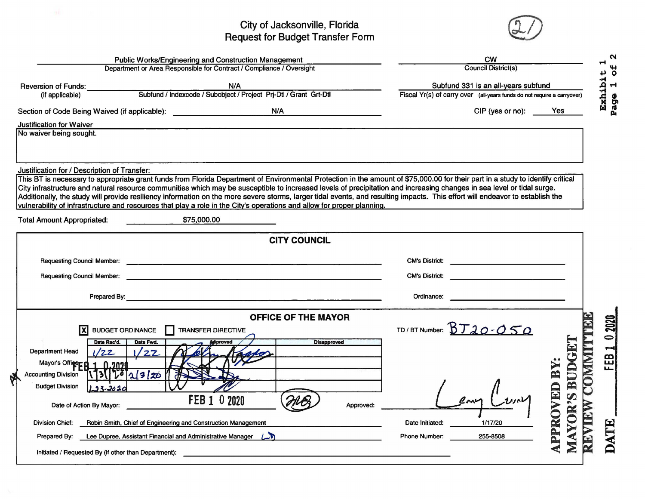## City of Jacksonville, Florida<br>Request for Budget Transfer Form



| Public Works/Engineering and Construction Management                                                                                                                          | <b>CW</b>                                                                                                                                                                       |
|-------------------------------------------------------------------------------------------------------------------------------------------------------------------------------|---------------------------------------------------------------------------------------------------------------------------------------------------------------------------------|
| Department or Area Responsible for Contract / Compliance / Oversight                                                                                                          | <b>Council District(s)</b>                                                                                                                                                      |
| N/A<br><b>Reversion of Funds:</b>                                                                                                                                             | Subfund 331 is an all-years subfund                                                                                                                                             |
| Subfund / Indexcode / Subobject / Project Prj-Dtl / Grant Grt-Dtl<br>(if applicable)                                                                                          | Exhibi<br>Fiscal Yr(s) of carry over (all-years funds do not require a carryover)                                                                                               |
| Section of Code Being Waived (if applicable): __________________________________<br>N/A                                                                                       | CIP (yes or no):<br>Yes                                                                                                                                                         |
| <b>Justification for Waiver</b><br>No waiver being sought.                                                                                                                    |                                                                                                                                                                                 |
|                                                                                                                                                                               |                                                                                                                                                                                 |
|                                                                                                                                                                               |                                                                                                                                                                                 |
| Justification for / Description of Transfer:                                                                                                                                  |                                                                                                                                                                                 |
| City infrastructure and natural resource communities which may be susceptible to increased levels of precipitation and increasing changes in sea level or tidal surge.        | This BT is necessary to appropriate grant funds from Florida Department of Environmental Protection in the amount of \$75,000.00 for their part in a study to identify critical |
| Additionally, the study will provide resiliency information on the more severe storms, larger tidal events, and resulting impacts. This effort will endeavor to establish the |                                                                                                                                                                                 |
| vulnerability of infrastructure and resources that play a role in the City's operations and allow for proper planning.                                                        |                                                                                                                                                                                 |
| \$75,000.00<br><b>Total Amount Appropriated:</b>                                                                                                                              |                                                                                                                                                                                 |
|                                                                                                                                                                               | <b>CITY COUNCIL</b>                                                                                                                                                             |
|                                                                                                                                                                               |                                                                                                                                                                                 |
|                                                                                                                                                                               |                                                                                                                                                                                 |
| <b>Requesting Council Member:</b>                                                                                                                                             | <b>CM's District:</b><br>and the contract of the contract of                                                                                                                    |
|                                                                                                                                                                               | Ordinance:                                                                                                                                                                      |
|                                                                                                                                                                               | <b>OFFICE OF THE MAYOR</b>                                                                                                                                                      |
| ΙX<br><b>BUDGET ORDINANCE</b><br><b>TRANSFER DIRECTIVE</b>                                                                                                                    | TD/BT Number: BT20-050                                                                                                                                                          |
| Date Rec'd.<br>Date Fwd.                                                                                                                                                      | <b>Disapproved</b>                                                                                                                                                              |
| <b>Department Head</b><br>1/22<br>77                                                                                                                                          | OMMIT                                                                                                                                                                           |
| Mayor's Office B<br>0.2020                                                                                                                                                    | <b>BUDG</b><br>$\mathbf{B}\mathbf{Y}$                                                                                                                                           |
| $13[ V^{\bar{o}} _{2}/3 _{20}]$<br><b>Accounting Division</b>                                                                                                                 |                                                                                                                                                                                 |
| <b>Budget Division</b><br>$33 - 2020$                                                                                                                                         |                                                                                                                                                                                 |
| FEB 1 0 2020<br>Date of Action By Mayor:                                                                                                                                      | Approved:                                                                                                                                                                       |
| <b>Division Chief:</b><br>Robin Smith, Chief of Engineering and Construction Management                                                                                       | OR<br>È<br>1/17/20<br>Date Initiated:                                                                                                                                           |
| Lee Dupree, Assistant Financial and Administrative Manager (<br>Prepared By:                                                                                                  | PPROVED<br><b>Phone Number:</b><br>255-8508<br>唐                                                                                                                                |
| Initiated / Requested By (if other than Department):                                                                                                                          |                                                                                                                                                                                 |